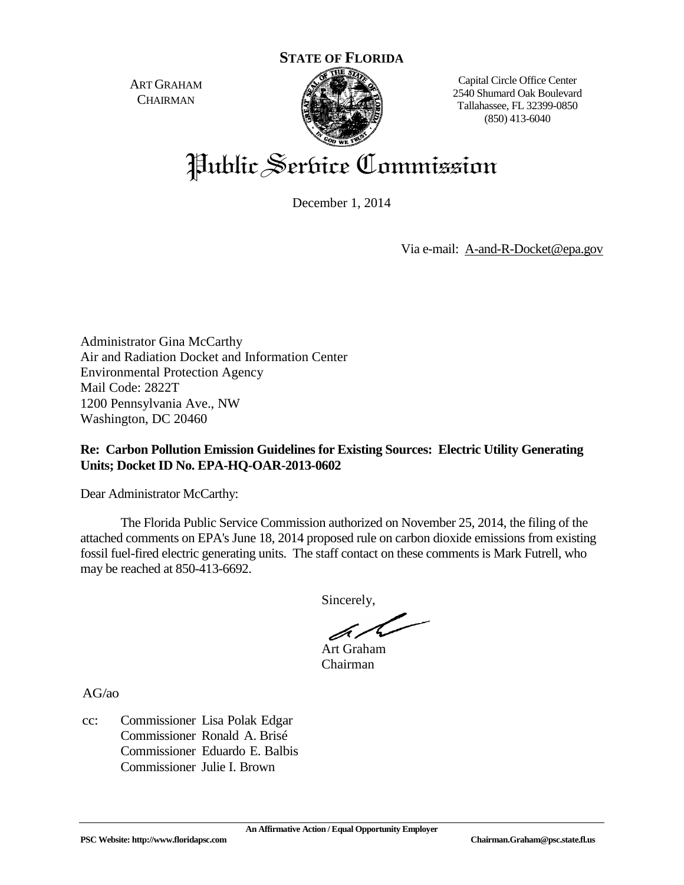ART GRAHAM **CHAIRMAN** 



Capital Circle Office Center 2540 Shumard Oak Boulevard Tallahassee, FL 32399-0850 (850) 413-6040

# Public Service Commission

December 1, 2014

Via e-mail: [A-and-R-Docket@epa.gov](mailto:A-and-R-Docket@epa.gov)

Administrator Gina McCarthy Air and Radiation Docket and Information Center Environmental Protection Agency Mail Code: 2822T 1200 Pennsylvania Ave., NW Washington, DC 20460

# **Re: Carbon Pollution Emission Guidelines for Existing Sources: Electric Utility Generating Units; Docket ID No. EPA-HQ-OAR-2013-0602**

Dear Administrator McCarthy:

The Florida Public Service Commission authorized on November 25, 2014, the filing of the attached comments on EPA's June 18, 2014 proposed rule on carbon dioxide emissions from existing fossil fuel-fired electric generating units. The staff contact on these comments is Mark Futrell, who may be reached at 850-413-6692.

Sincerely,

Art Graham Chairman

AG/ao

cc: Commissioner Lisa Polak Edgar Commissioner Ronald A. Brisé Commissioner Eduardo E. Balbis Commissioner Julie I. Brown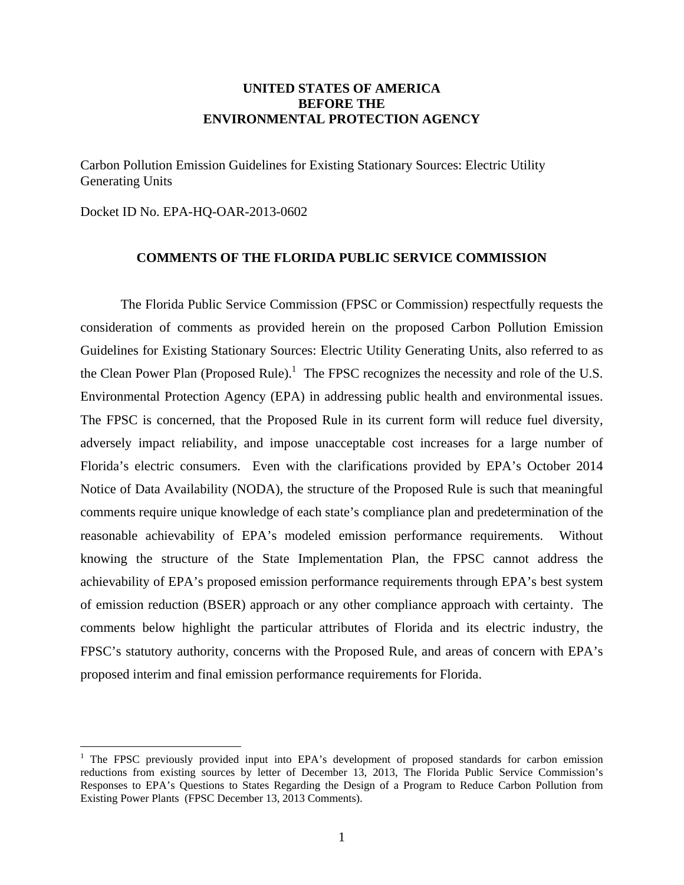## **UNITED STATES OF AMERICA BEFORE THE ENVIRONMENTAL PROTECTION AGENCY**

Carbon Pollution Emission Guidelines for Existing Stationary Sources: Electric Utility Generating Units

Docket ID No. EPA-HQ-OAR-2013-0602

 $\overline{a}$ 

## **COMMENTS OF THE FLORIDA PUBLIC SERVICE COMMISSION**

 The Florida Public Service Commission (FPSC or Commission) respectfully requests the consideration of comments as provided herein on the proposed Carbon Pollution Emission Guidelines for Existing Stationary Sources: Electric Utility Generating Units, also referred to as the Clean Power Plan (Proposed Rule).<sup>1</sup> The FPSC recognizes the necessity and role of the U.S. Environmental Protection Agency (EPA) in addressing public health and environmental issues. The FPSC is concerned, that the Proposed Rule in its current form will reduce fuel diversity, adversely impact reliability, and impose unacceptable cost increases for a large number of Florida's electric consumers. Even with the clarifications provided by EPA's October 2014 Notice of Data Availability (NODA), the structure of the Proposed Rule is such that meaningful comments require unique knowledge of each state's compliance plan and predetermination of the reasonable achievability of EPA's modeled emission performance requirements. Without knowing the structure of the State Implementation Plan, the FPSC cannot address the achievability of EPA's proposed emission performance requirements through EPA's best system of emission reduction (BSER) approach or any other compliance approach with certainty. The comments below highlight the particular attributes of Florida and its electric industry, the FPSC's statutory authority, concerns with the Proposed Rule, and areas of concern with EPA's proposed interim and final emission performance requirements for Florida.

<sup>&</sup>lt;sup>1</sup> The FPSC previously provided input into EPA's development of proposed standards for carbon emission reductions from existing sources by letter of December 13, 2013, The Florida Public Service Commission's Responses to EPA's Questions to States Regarding the Design of a Program to Reduce Carbon Pollution from Existing Power Plants (FPSC December 13, 2013 Comments).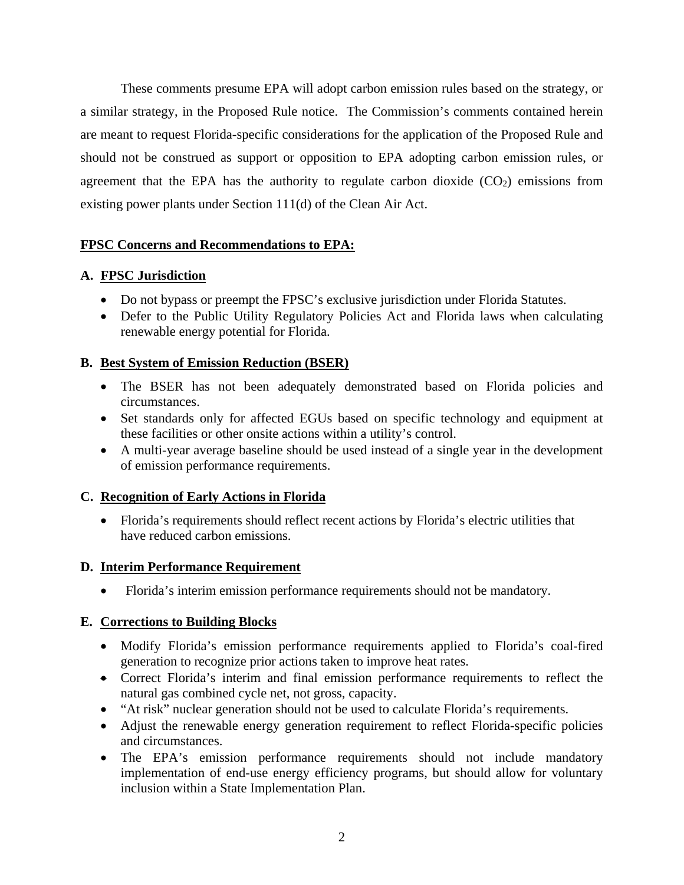These comments presume EPA will adopt carbon emission rules based on the strategy, or a similar strategy, in the Proposed Rule notice. The Commission's comments contained herein are meant to request Florida-specific considerations for the application of the Proposed Rule and should not be construed as support or opposition to EPA adopting carbon emission rules, or agreement that the EPA has the authority to regulate carbon dioxide  $(CO<sub>2</sub>)$  emissions from existing power plants under Section 111(d) of the Clean Air Act.

# **FPSC Concerns and Recommendations to EPA:**

# **A. FPSC Jurisdiction**

- Do not bypass or preempt the FPSC's exclusive jurisdiction under Florida Statutes.
- Defer to the Public Utility Regulatory Policies Act and Florida laws when calculating renewable energy potential for Florida.

# **B. Best System of Emission Reduction (BSER)**

- The BSER has not been adequately demonstrated based on Florida policies and circumstances.
- Set standards only for affected EGUs based on specific technology and equipment at these facilities or other onsite actions within a utility's control.
- A multi-year average baseline should be used instead of a single year in the development of emission performance requirements.

# **C. Recognition of Early Actions in Florida**

 Florida's requirements should reflect recent actions by Florida's electric utilities that have reduced carbon emissions.

# **D. Interim Performance Requirement**

Florida's interim emission performance requirements should not be mandatory.

# **E. Corrections to Building Blocks**

- Modify Florida's emission performance requirements applied to Florida's coal-fired generation to recognize prior actions taken to improve heat rates.
- Correct Florida's interim and final emission performance requirements to reflect the natural gas combined cycle net, not gross, capacity.
- "At risk" nuclear generation should not be used to calculate Florida's requirements.
- Adjust the renewable energy generation requirement to reflect Florida-specific policies and circumstances.
- The EPA's emission performance requirements should not include mandatory implementation of end-use energy efficiency programs, but should allow for voluntary inclusion within a State Implementation Plan.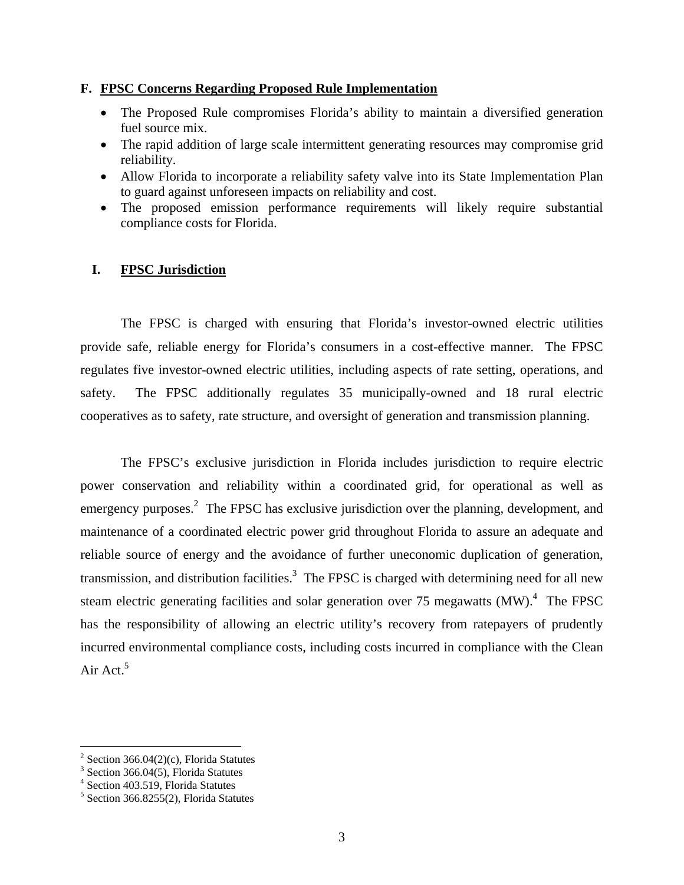## **F. FPSC Concerns Regarding Proposed Rule Implementation**

- The Proposed Rule compromises Florida's ability to maintain a diversified generation fuel source mix.
- The rapid addition of large scale intermittent generating resources may compromise grid reliability.
- Allow Florida to incorporate a reliability safety valve into its State Implementation Plan to guard against unforeseen impacts on reliability and cost.
- The proposed emission performance requirements will likely require substantial compliance costs for Florida.

# **I. FPSC Jurisdiction**

The FPSC is charged with ensuring that Florida's investor-owned electric utilities provide safe, reliable energy for Florida's consumers in a cost-effective manner. The FPSC regulates five investor-owned electric utilities, including aspects of rate setting, operations, and safety. The FPSC additionally regulates 35 municipally-owned and 18 rural electric cooperatives as to safety, rate structure, and oversight of generation and transmission planning.

The FPSC's exclusive jurisdiction in Florida includes jurisdiction to require electric power conservation and reliability within a coordinated grid, for operational as well as emergency purposes.<sup>2</sup> The FPSC has exclusive jurisdiction over the planning, development, and maintenance of a coordinated electric power grid throughout Florida to assure an adequate and reliable source of energy and the avoidance of further uneconomic duplication of generation, transmission, and distribution facilities.<sup>3</sup> The FPSC is charged with determining need for all new steam electric generating facilities and solar generation over 75 megawatts  $(MW)$ .<sup>4</sup> The FPSC has the responsibility of allowing an electric utility's recovery from ratepayers of prudently incurred environmental compliance costs, including costs incurred in compliance with the Clean Air Act. $5$ 

 2 Section 366.04(2)(c), Florida Statutes

<sup>&</sup>lt;sup>3</sup> Section 366.04(5), Florida Statutes

<sup>4</sup> Section 403.519, Florida Statutes

<sup>5</sup> Section 366.8255(2), Florida Statutes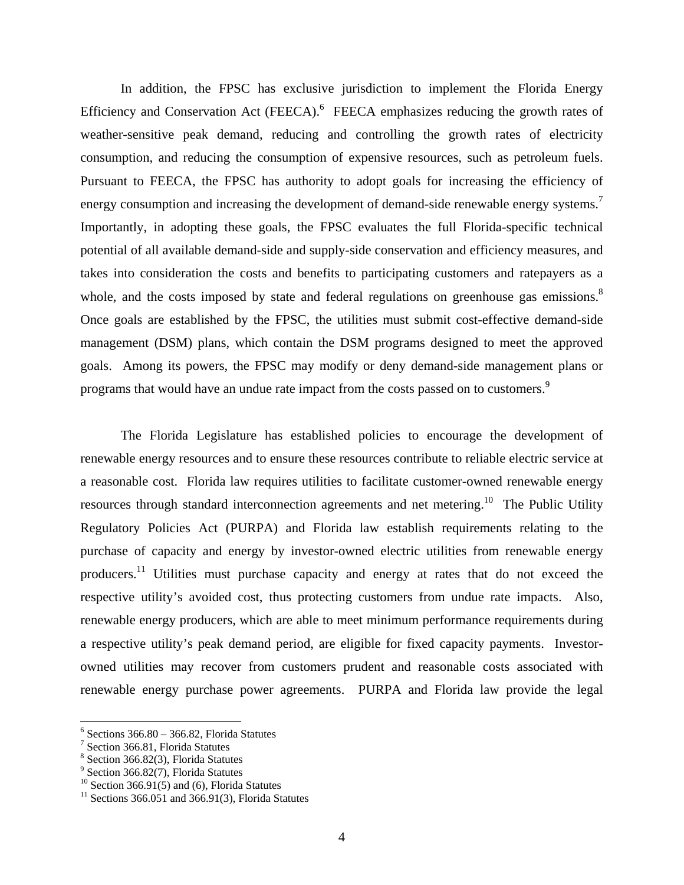In addition, the FPSC has exclusive jurisdiction to implement the Florida Energy Efficiency and Conservation Act (FEECA). $<sup>6</sup>$  FEECA emphasizes reducing the growth rates of</sup> weather-sensitive peak demand, reducing and controlling the growth rates of electricity consumption, and reducing the consumption of expensive resources, such as petroleum fuels. Pursuant to FEECA, the FPSC has authority to adopt goals for increasing the efficiency of energy consumption and increasing the development of demand-side renewable energy systems.<sup>7</sup> Importantly, in adopting these goals, the FPSC evaluates the full Florida-specific technical potential of all available demand-side and supply-side conservation and efficiency measures, and takes into consideration the costs and benefits to participating customers and ratepayers as a whole, and the costs imposed by state and federal regulations on greenhouse gas emissions.<sup>8</sup> Once goals are established by the FPSC, the utilities must submit cost-effective demand-side management (DSM) plans, which contain the DSM programs designed to meet the approved goals. Among its powers, the FPSC may modify or deny demand-side management plans or programs that would have an undue rate impact from the costs passed on to customers.<sup>9</sup>

The Florida Legislature has established policies to encourage the development of renewable energy resources and to ensure these resources contribute to reliable electric service at a reasonable cost. Florida law requires utilities to facilitate customer-owned renewable energy resources through standard interconnection agreements and net metering.<sup>10</sup> The Public Utility Regulatory Policies Act (PURPA) and Florida law establish requirements relating to the purchase of capacity and energy by investor-owned electric utilities from renewable energy producers.<sup>11</sup> Utilities must purchase capacity and energy at rates that do not exceed the respective utility's avoided cost, thus protecting customers from undue rate impacts. Also, renewable energy producers, which are able to meet minimum performance requirements during a respective utility's peak demand period, are eligible for fixed capacity payments. Investorowned utilities may recover from customers prudent and reasonable costs associated with renewable energy purchase power agreements. PURPA and Florida law provide the legal

 $6$  Sections 366.80 – 366.82, Florida Statutes

<sup>7</sup> Section 366.81, Florida Statutes

<sup>8</sup> Section 366.82(3), Florida Statutes

<sup>&</sup>lt;sup>9</sup> Section 366.82(7), Florida Statutes

<sup>&</sup>lt;sup>10</sup> Section 366.91(5) and (6), Florida Statutes

 $11$  Sections 366.051 and 366.91(3), Florida Statutes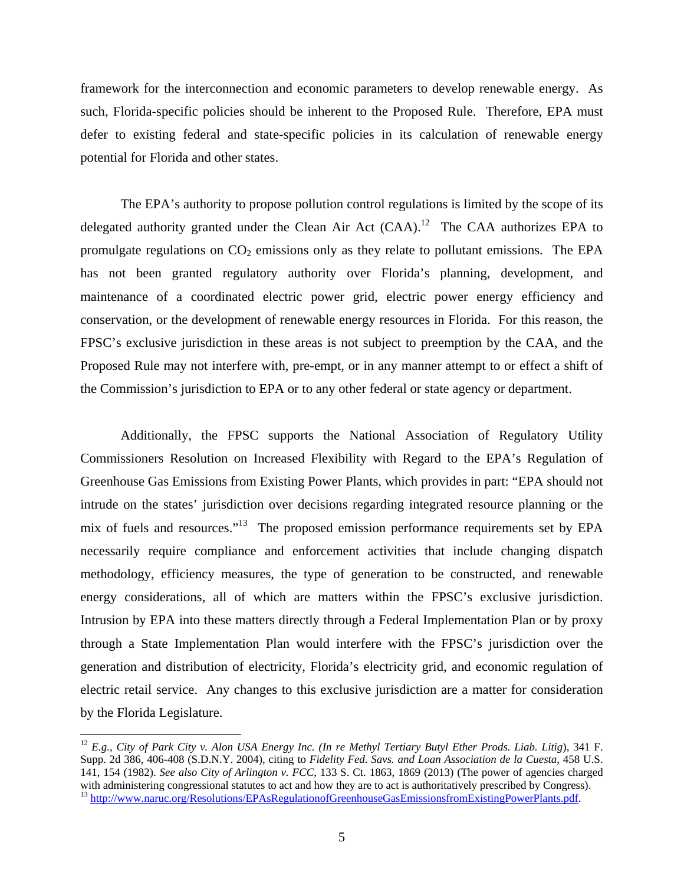framework for the interconnection and economic parameters to develop renewable energy. As such, Florida-specific policies should be inherent to the Proposed Rule. Therefore, EPA must defer to existing federal and state-specific policies in its calculation of renewable energy potential for Florida and other states.

The EPA's authority to propose pollution control regulations is limited by the scope of its delegated authority granted under the Clean Air Act  $(CAA)$ .<sup>12</sup> The CAA authorizes EPA to promulgate regulations on  $CO<sub>2</sub>$  emissions only as they relate to pollutant emissions. The EPA has not been granted regulatory authority over Florida's planning, development, and maintenance of a coordinated electric power grid, electric power energy efficiency and conservation, or the development of renewable energy resources in Florida. For this reason, the FPSC's exclusive jurisdiction in these areas is not subject to preemption by the CAA, and the Proposed Rule may not interfere with, pre-empt, or in any manner attempt to or effect a shift of the Commission's jurisdiction to EPA or to any other federal or state agency or department.

Additionally, the FPSC supports the National Association of Regulatory Utility Commissioners Resolution on Increased Flexibility with Regard to the EPA's Regulation of Greenhouse Gas Emissions from Existing Power Plants, which provides in part: "EPA should not intrude on the states' jurisdiction over decisions regarding integrated resource planning or the mix of fuels and resources."<sup>13</sup> The proposed emission performance requirements set by EPA necessarily require compliance and enforcement activities that include changing dispatch methodology, efficiency measures, the type of generation to be constructed, and renewable energy considerations, all of which are matters within the FPSC's exclusive jurisdiction. Intrusion by EPA into these matters directly through a Federal Implementation Plan or by proxy through a State Implementation Plan would interfere with the FPSC's jurisdiction over the generation and distribution of electricity, Florida's electricity grid, and economic regulation of electric retail service. Any changes to this exclusive jurisdiction are a matter for consideration by the Florida Legislature.

<sup>12</sup> *E.g.*, *City of Park City v. Alon USA Energy Inc. (In re Methyl Tertiary Butyl Ether Prods. Liab. Litig*), 341 F. Supp. 2d 386, 406-408 (S.D.N.Y. 2004), citing to *Fidelity Fed. Savs. and Loan Association de la Cuesta*, 458 U.S. 141, 154 (1982). *See also City of Arlington v. FCC*, 133 S. Ct. 1863, 1869 (2013) (The power of agencies charged with administering congressional statutes to act and how they are to act is authoritatively prescribed by Congress). <sup>13</sup> http://www.naruc.org/Resolutions/EPAsRegulationofGreenhouseGasEmissionsfromExistingPowerPlants.pdf.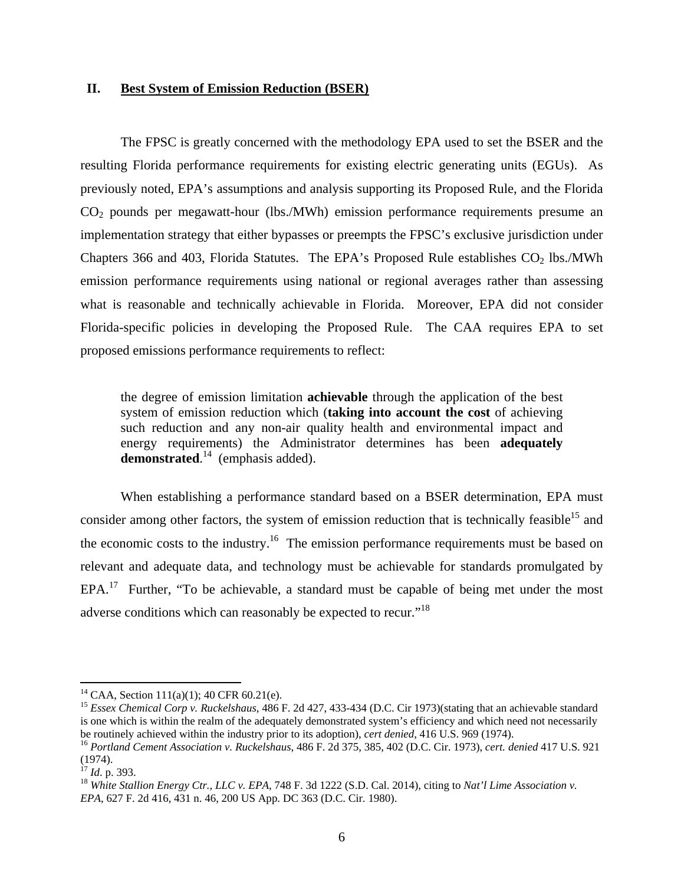#### **II. Best System of Emission Reduction (BSER)**

The FPSC is greatly concerned with the methodology EPA used to set the BSER and the resulting Florida performance requirements for existing electric generating units (EGUs). As previously noted, EPA's assumptions and analysis supporting its Proposed Rule, and the Florida  $CO<sub>2</sub>$  pounds per megawatt-hour (lbs./MWh) emission performance requirements presume an implementation strategy that either bypasses or preempts the FPSC's exclusive jurisdiction under Chapters 366 and 403, Florida Statutes. The EPA's Proposed Rule establishes  $CO<sub>2</sub>$  lbs./MWh emission performance requirements using national or regional averages rather than assessing what is reasonable and technically achievable in Florida. Moreover, EPA did not consider Florida-specific policies in developing the Proposed Rule. The CAA requires EPA to set proposed emissions performance requirements to reflect:

the degree of emission limitation **achievable** through the application of the best system of emission reduction which (**taking into account the cost** of achieving such reduction and any non-air quality health and environmental impact and energy requirements) the Administrator determines has been **adequately**  demonstrated.<sup>14</sup> (emphasis added).

When establishing a performance standard based on a BSER determination, EPA must consider among other factors, the system of emission reduction that is technically feasible<sup>15</sup> and the economic costs to the industry.<sup>16</sup> The emission performance requirements must be based on relevant and adequate data, and technology must be achievable for standards promulgated by EPA.17 Further, "To be achievable, a standard must be capable of being met under the most adverse conditions which can reasonably be expected to recur."<sup>18</sup>

<sup>&</sup>lt;sup>14</sup> CAA, Section 111(a)(1); 40 CFR 60.21(e).

<sup>15</sup> *Essex Chemical Corp v. Ruckelshaus*, 486 F. 2d 427, 433-434 (D.C. Cir 1973)(stating that an achievable standard is one which is within the realm of the adequately demonstrated system's efficiency and which need not necessarily be routinely achieved within the industry prior to its adoption), cert denied, 416 U.S. 969 (1974).<br><sup>16</sup> Portland Cement Association v. Ruckelshaus, 486 F. 2d 375, 385, 402 (D.C. Cir. 1973), cert. denied 417 U.S. 921

 $(1974)$ .<br><sup>17</sup> *Id.* p. 393.

<sup>&</sup>lt;sup>18</sup> *White Stallion Energy Ctr., LLC v. EPA, 748 F. 3d 1222 (S.D. Cal. 2014), citing to Nat'l Lime Association v. EPA*, 627 F. 2d 416, 431 n. 46, 200 US App. DC 363 (D.C. Cir. 1980).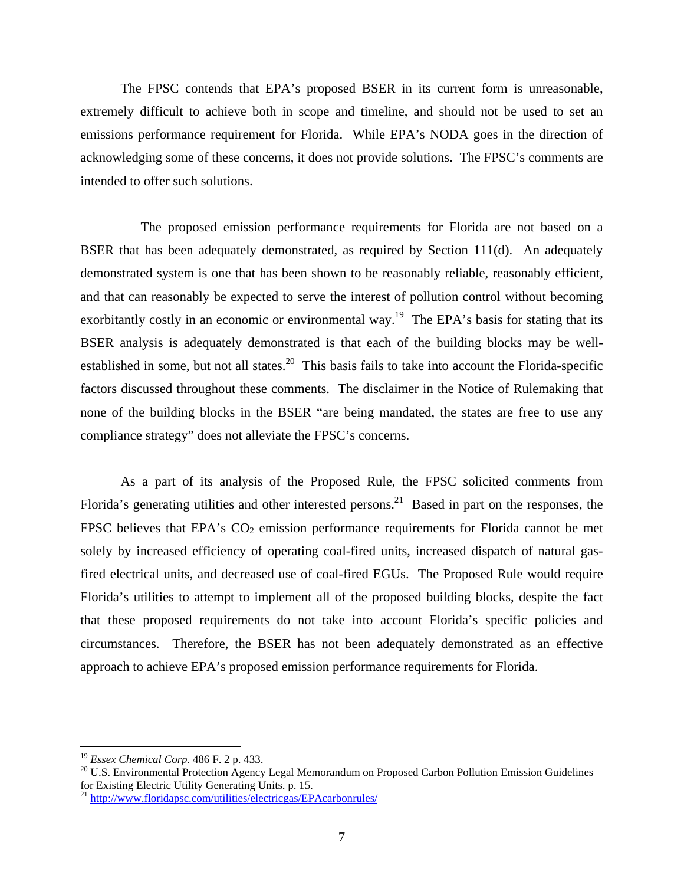The FPSC contends that EPA's proposed BSER in its current form is unreasonable, extremely difficult to achieve both in scope and timeline, and should not be used to set an emissions performance requirement for Florida. While EPA's NODA goes in the direction of acknowledging some of these concerns, it does not provide solutions. The FPSC's comments are intended to offer such solutions.

 The proposed emission performance requirements for Florida are not based on a BSER that has been adequately demonstrated, as required by Section 111(d). An adequately demonstrated system is one that has been shown to be reasonably reliable, reasonably efficient, and that can reasonably be expected to serve the interest of pollution control without becoming exorbitantly costly in an economic or environmental way.<sup>19</sup> The EPA's basis for stating that its BSER analysis is adequately demonstrated is that each of the building blocks may be wellestablished in some, but not all states.<sup>20</sup> This basis fails to take into account the Florida-specific factors discussed throughout these comments. The disclaimer in the Notice of Rulemaking that none of the building blocks in the BSER "are being mandated, the states are free to use any compliance strategy" does not alleviate the FPSC's concerns.

As a part of its analysis of the Proposed Rule, the FPSC solicited comments from Florida's generating utilities and other interested persons.<sup>21</sup> Based in part on the responses, the FPSC believes that EPA's  $CO<sub>2</sub>$  emission performance requirements for Florida cannot be met solely by increased efficiency of operating coal-fired units, increased dispatch of natural gasfired electrical units, and decreased use of coal-fired EGUs. The Proposed Rule would require Florida's utilities to attempt to implement all of the proposed building blocks, despite the fact that these proposed requirements do not take into account Florida's specific policies and circumstances. Therefore, the BSER has not been adequately demonstrated as an effective approach to achieve EPA's proposed emission performance requirements for Florida.

 $19$  Essex Chemical Corp. 486 F. 2 p. 433.

<sup>&</sup>lt;sup>20</sup> U.S. Environmental Protection Agency Legal Memorandum on Proposed Carbon Pollution Emission Guidelines for Existing Electric Utility Generating Units. p. 15.

<sup>21</sup> http://www.floridapsc.com/utilities/electricgas/EPAcarbonrules/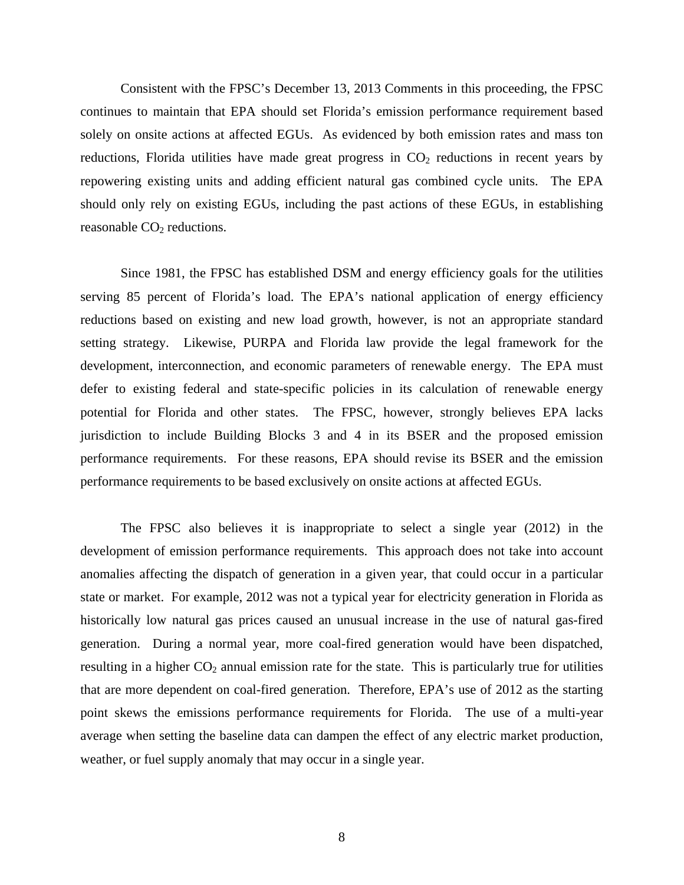Consistent with the FPSC's December 13, 2013 Comments in this proceeding, the FPSC continues to maintain that EPA should set Florida's emission performance requirement based solely on onsite actions at affected EGUs. As evidenced by both emission rates and mass ton reductions, Florida utilities have made great progress in  $CO<sub>2</sub>$  reductions in recent years by repowering existing units and adding efficient natural gas combined cycle units. The EPA should only rely on existing EGUs, including the past actions of these EGUs, in establishing reasonable  $CO<sub>2</sub>$  reductions.

Since 1981, the FPSC has established DSM and energy efficiency goals for the utilities serving 85 percent of Florida's load. The EPA's national application of energy efficiency reductions based on existing and new load growth, however, is not an appropriate standard setting strategy. Likewise, PURPA and Florida law provide the legal framework for the development, interconnection, and economic parameters of renewable energy. The EPA must defer to existing federal and state-specific policies in its calculation of renewable energy potential for Florida and other states. The FPSC, however, strongly believes EPA lacks jurisdiction to include Building Blocks 3 and 4 in its BSER and the proposed emission performance requirements. For these reasons, EPA should revise its BSER and the emission performance requirements to be based exclusively on onsite actions at affected EGUs.

The FPSC also believes it is inappropriate to select a single year (2012) in the development of emission performance requirements. This approach does not take into account anomalies affecting the dispatch of generation in a given year, that could occur in a particular state or market. For example, 2012 was not a typical year for electricity generation in Florida as historically low natural gas prices caused an unusual increase in the use of natural gas-fired generation. During a normal year, more coal-fired generation would have been dispatched, resulting in a higher  $CO_2$  annual emission rate for the state. This is particularly true for utilities that are more dependent on coal-fired generation. Therefore, EPA's use of 2012 as the starting point skews the emissions performance requirements for Florida. The use of a multi-year average when setting the baseline data can dampen the effect of any electric market production, weather, or fuel supply anomaly that may occur in a single year.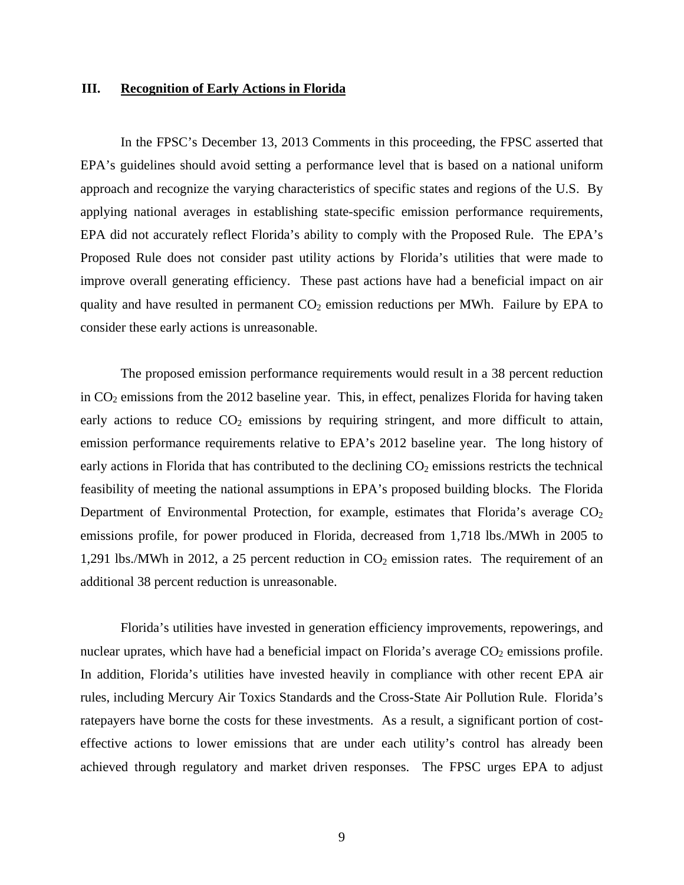#### **III. Recognition of Early Actions in Florida**

In the FPSC's December 13, 2013 Comments in this proceeding, the FPSC asserted that EPA's guidelines should avoid setting a performance level that is based on a national uniform approach and recognize the varying characteristics of specific states and regions of the U.S. By applying national averages in establishing state-specific emission performance requirements, EPA did not accurately reflect Florida's ability to comply with the Proposed Rule. The EPA's Proposed Rule does not consider past utility actions by Florida's utilities that were made to improve overall generating efficiency. These past actions have had a beneficial impact on air quality and have resulted in permanent  $CO<sub>2</sub>$  emission reductions per MWh. Failure by EPA to consider these early actions is unreasonable.

The proposed emission performance requirements would result in a 38 percent reduction in  $CO<sub>2</sub>$  emissions from the 2012 baseline year. This, in effect, penalizes Florida for having taken early actions to reduce  $CO<sub>2</sub>$  emissions by requiring stringent, and more difficult to attain, emission performance requirements relative to EPA's 2012 baseline year. The long history of early actions in Florida that has contributed to the declining  $CO<sub>2</sub>$  emissions restricts the technical feasibility of meeting the national assumptions in EPA's proposed building blocks. The Florida Department of Environmental Protection, for example, estimates that Florida's average  $CO<sub>2</sub>$ emissions profile, for power produced in Florida, decreased from 1,718 lbs./MWh in 2005 to 1,291 lbs./MWh in 2012, a 25 percent reduction in  $CO<sub>2</sub>$  emission rates. The requirement of an additional 38 percent reduction is unreasonable.

Florida's utilities have invested in generation efficiency improvements, repowerings, and nuclear uprates, which have had a beneficial impact on Florida's average  $CO<sub>2</sub>$  emissions profile. In addition, Florida's utilities have invested heavily in compliance with other recent EPA air rules, including Mercury Air Toxics Standards and the Cross-State Air Pollution Rule. Florida's ratepayers have borne the costs for these investments. As a result, a significant portion of costeffective actions to lower emissions that are under each utility's control has already been achieved through regulatory and market driven responses. The FPSC urges EPA to adjust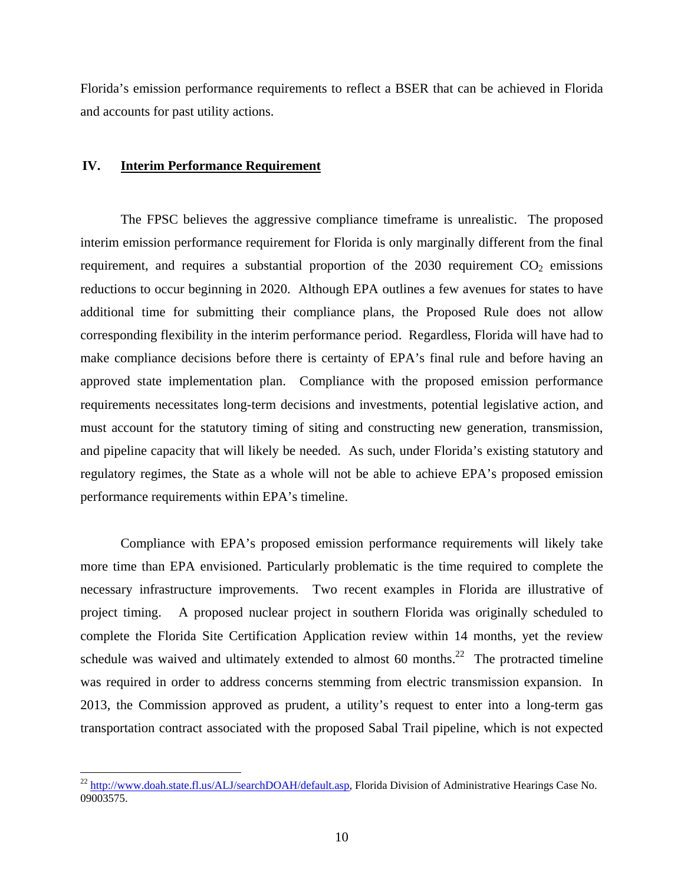Florida's emission performance requirements to reflect a BSER that can be achieved in Florida and accounts for past utility actions.

## **IV. Interim Performance Requirement**

 $\overline{a}$ 

The FPSC believes the aggressive compliance timeframe is unrealistic. The proposed interim emission performance requirement for Florida is only marginally different from the final requirement, and requires a substantial proportion of the  $2030$  requirement  $CO<sub>2</sub>$  emissions reductions to occur beginning in 2020. Although EPA outlines a few avenues for states to have additional time for submitting their compliance plans, the Proposed Rule does not allow corresponding flexibility in the interim performance period. Regardless, Florida will have had to make compliance decisions before there is certainty of EPA's final rule and before having an approved state implementation plan. Compliance with the proposed emission performance requirements necessitates long-term decisions and investments, potential legislative action, and must account for the statutory timing of siting and constructing new generation, transmission, and pipeline capacity that will likely be needed. As such, under Florida's existing statutory and regulatory regimes, the State as a whole will not be able to achieve EPA's proposed emission performance requirements within EPA's timeline.

Compliance with EPA's proposed emission performance requirements will likely take more time than EPA envisioned. Particularly problematic is the time required to complete the necessary infrastructure improvements. Two recent examples in Florida are illustrative of project timing. A proposed nuclear project in southern Florida was originally scheduled to complete the Florida Site Certification Application review within 14 months, yet the review schedule was waived and ultimately extended to almost 60 months.<sup>22</sup> The protracted timeline was required in order to address concerns stemming from electric transmission expansion. In 2013, the Commission approved as prudent, a utility's request to enter into a long-term gas transportation contract associated with the proposed Sabal Trail pipeline, which is not expected

<sup>&</sup>lt;sup>22</sup> http://www.doah.state.fl.us/ALJ/searchDOAH/default.asp, Florida Division of Administrative Hearings Case No. 09003575.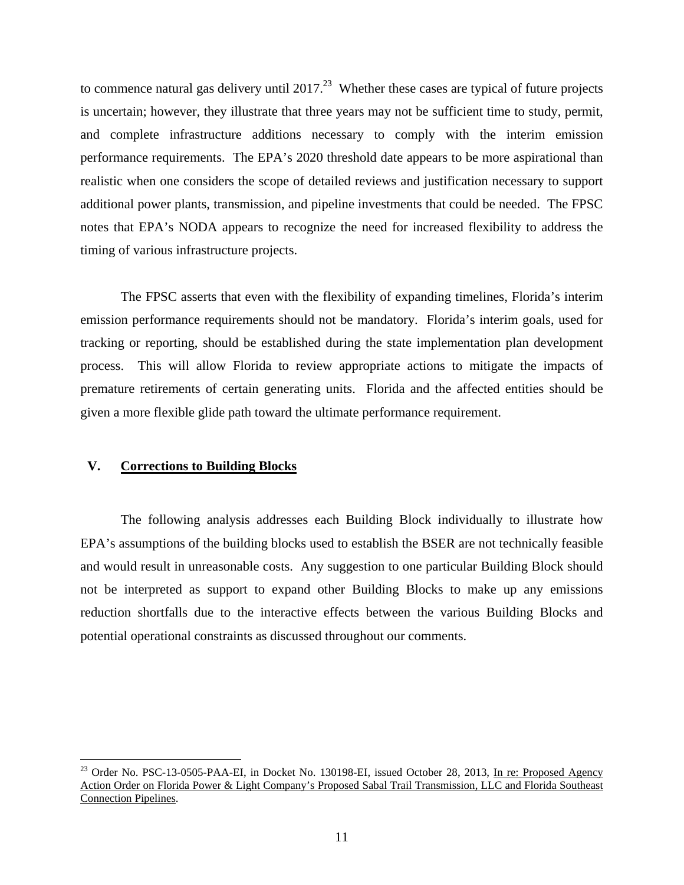to commence natural gas delivery until  $2017<sup>23</sup>$  Whether these cases are typical of future projects is uncertain; however, they illustrate that three years may not be sufficient time to study, permit, and complete infrastructure additions necessary to comply with the interim emission performance requirements. The EPA's 2020 threshold date appears to be more aspirational than realistic when one considers the scope of detailed reviews and justification necessary to support additional power plants, transmission, and pipeline investments that could be needed. The FPSC notes that EPA's NODA appears to recognize the need for increased flexibility to address the timing of various infrastructure projects.

The FPSC asserts that even with the flexibility of expanding timelines, Florida's interim emission performance requirements should not be mandatory. Florida's interim goals, used for tracking or reporting, should be established during the state implementation plan development process. This will allow Florida to review appropriate actions to mitigate the impacts of premature retirements of certain generating units. Florida and the affected entities should be given a more flexible glide path toward the ultimate performance requirement.

## **V. Corrections to Building Blocks**

1

The following analysis addresses each Building Block individually to illustrate how EPA's assumptions of the building blocks used to establish the BSER are not technically feasible and would result in unreasonable costs. Any suggestion to one particular Building Block should not be interpreted as support to expand other Building Blocks to make up any emissions reduction shortfalls due to the interactive effects between the various Building Blocks and potential operational constraints as discussed throughout our comments.

<sup>&</sup>lt;sup>23</sup> Order No. PSC-13-0505-PAA-EI, in Docket No. 130198-EI, issued October 28, 2013, In re: Proposed Agency Action Order on Florida Power & Light Company's Proposed Sabal Trail Transmission, LLC and Florida Southeast Connection Pipelines.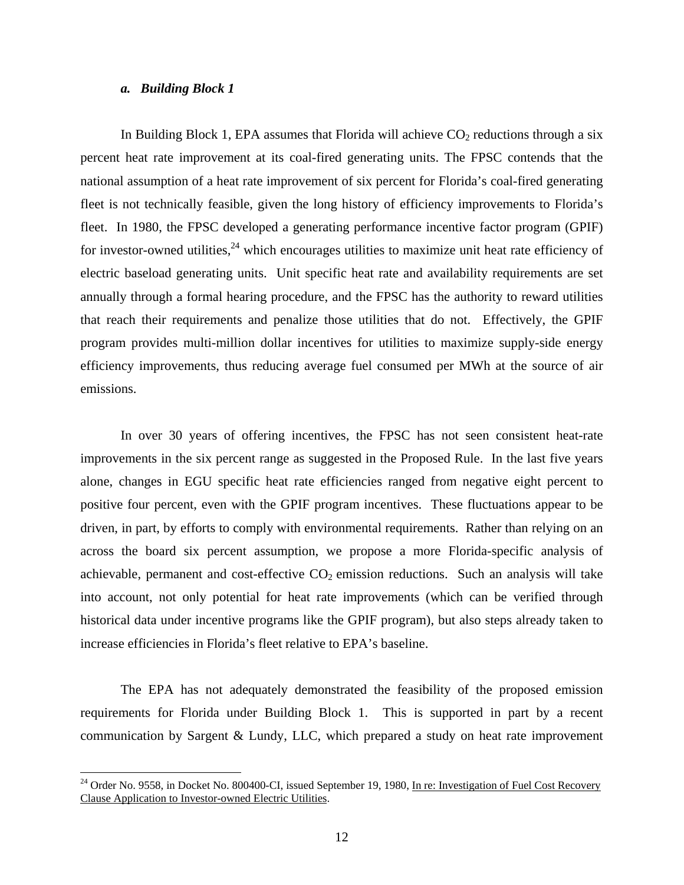# *a. Building Block 1*

 $\overline{a}$ 

In Building Block 1, EPA assumes that Florida will achieve  $CO<sub>2</sub>$  reductions through a six percent heat rate improvement at its coal-fired generating units. The FPSC contends that the national assumption of a heat rate improvement of six percent for Florida's coal-fired generating fleet is not technically feasible, given the long history of efficiency improvements to Florida's fleet. In 1980, the FPSC developed a generating performance incentive factor program (GPIF) for investor-owned utilities,<sup>24</sup> which encourages utilities to maximize unit heat rate efficiency of electric baseload generating units. Unit specific heat rate and availability requirements are set annually through a formal hearing procedure, and the FPSC has the authority to reward utilities that reach their requirements and penalize those utilities that do not. Effectively, the GPIF program provides multi-million dollar incentives for utilities to maximize supply-side energy efficiency improvements, thus reducing average fuel consumed per MWh at the source of air emissions.

In over 30 years of offering incentives, the FPSC has not seen consistent heat-rate improvements in the six percent range as suggested in the Proposed Rule. In the last five years alone, changes in EGU specific heat rate efficiencies ranged from negative eight percent to positive four percent, even with the GPIF program incentives. These fluctuations appear to be driven, in part, by efforts to comply with environmental requirements. Rather than relying on an across the board six percent assumption, we propose a more Florida-specific analysis of achievable, permanent and cost-effective  $CO<sub>2</sub>$  emission reductions. Such an analysis will take into account, not only potential for heat rate improvements (which can be verified through historical data under incentive programs like the GPIF program), but also steps already taken to increase efficiencies in Florida's fleet relative to EPA's baseline.

The EPA has not adequately demonstrated the feasibility of the proposed emission requirements for Florida under Building Block 1. This is supported in part by a recent communication by Sargent & Lundy, LLC, which prepared a study on heat rate improvement

<sup>&</sup>lt;sup>24</sup> Order No. 9558, in Docket No. 800400-CI, issued September 19, 1980, In re: Investigation of Fuel Cost Recovery Clause Application to Investor-owned Electric Utilities.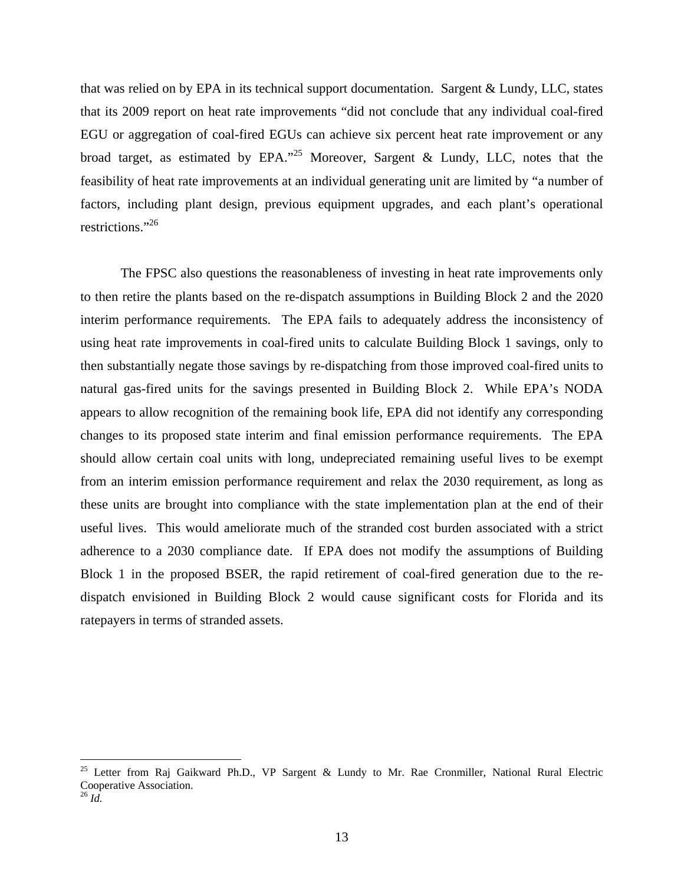that was relied on by EPA in its technical support documentation. Sargent & Lundy, LLC, states that its 2009 report on heat rate improvements "did not conclude that any individual coal-fired EGU or aggregation of coal-fired EGUs can achieve six percent heat rate improvement or any broad target, as estimated by EPA."<sup>25</sup> Moreover, Sargent & Lundy, LLC, notes that the feasibility of heat rate improvements at an individual generating unit are limited by "a number of factors, including plant design, previous equipment upgrades, and each plant's operational restrictions."26

The FPSC also questions the reasonableness of investing in heat rate improvements only to then retire the plants based on the re-dispatch assumptions in Building Block 2 and the 2020 interim performance requirements. The EPA fails to adequately address the inconsistency of using heat rate improvements in coal-fired units to calculate Building Block 1 savings, only to then substantially negate those savings by re-dispatching from those improved coal-fired units to natural gas-fired units for the savings presented in Building Block 2. While EPA's NODA appears to allow recognition of the remaining book life, EPA did not identify any corresponding changes to its proposed state interim and final emission performance requirements. The EPA should allow certain coal units with long, undepreciated remaining useful lives to be exempt from an interim emission performance requirement and relax the 2030 requirement, as long as these units are brought into compliance with the state implementation plan at the end of their useful lives. This would ameliorate much of the stranded cost burden associated with a strict adherence to a 2030 compliance date. If EPA does not modify the assumptions of Building Block 1 in the proposed BSER, the rapid retirement of coal-fired generation due to the redispatch envisioned in Building Block 2 would cause significant costs for Florida and its ratepayers in terms of stranded assets.

<sup>&</sup>lt;sup>25</sup> Letter from Raj Gaikward Ph.D., VP Sargent & Lundy to Mr. Rae Cronmiller, National Rural Electric Cooperative Association. 26 *Id.*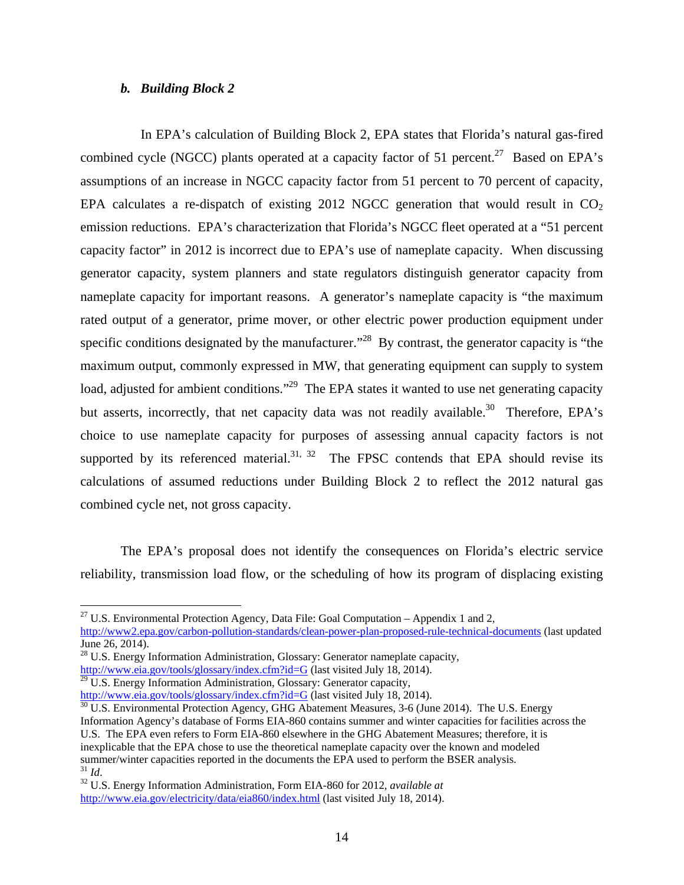## *b. Building Block 2*

 In EPA's calculation of Building Block 2, EPA states that Florida's natural gas-fired combined cycle (NGCC) plants operated at a capacity factor of 51 percent.<sup>27</sup> Based on EPA's assumptions of an increase in NGCC capacity factor from 51 percent to 70 percent of capacity, EPA calculates a re-dispatch of existing 2012 NGCC generation that would result in  $CO<sub>2</sub>$ emission reductions. EPA's characterization that Florida's NGCC fleet operated at a "51 percent capacity factor" in 2012 is incorrect due to EPA's use of nameplate capacity. When discussing generator capacity, system planners and state regulators distinguish generator capacity from nameplate capacity for important reasons. A generator's nameplate capacity is "the maximum rated output of a generator, prime mover, or other electric power production equipment under specific conditions designated by the manufacturer.<sup>228</sup> By contrast, the generator capacity is "the maximum output, commonly expressed in MW, that generating equipment can supply to system load, adjusted for ambient conditions."<sup>29</sup> The EPA states it wanted to use net generating capacity but asserts, incorrectly, that net capacity data was not readily available.<sup>30</sup> Therefore, EPA's choice to use nameplate capacity for purposes of assessing annual capacity factors is not supported by its referenced material.<sup>31, 32</sup> The FPSC contends that EPA should revise its calculations of assumed reductions under Building Block 2 to reflect the 2012 natural gas combined cycle net, not gross capacity.

The EPA's proposal does not identify the consequences on Florida's electric service reliability, transmission load flow, or the scheduling of how its program of displacing existing

<sup>&</sup>lt;sup>27</sup> U.S. Environmental Protection Agency, Data File: Goal Computation – Appendix 1 and 2, http://www2.epa.gov/carbon-pollution-standards/clean-power-plan-proposed-rule-technical-documents (last updated June 26, 2014).

<sup>&</sup>lt;sup>28</sup> U.S. Energy Information Administration, Glossary: Generator nameplate capacity, http://www.eia.gov/tools/glossary/index.cfm?id=G (last visited July 18, 2014).

 $29$  U.S. Energy Information Administration, Glossary: Generator capacity,

 $\frac{\text{http://www.eia.gov/tools/glossary/index.cfm?id=G}}{30 \text{ U.S. Environmental Protection Agency}}$  (last visited July 18, 2014).<br> $\frac{30 \text{ U.S. Environmental Protection Agency}}{30 \text{ U.S. Energy}}$ 

Information Agency's database of Forms EIA-860 contains summer and winter capacities for facilities across the U.S. The EPA even refers to Form EIA-860 elsewhere in the GHG Abatement Measures; therefore, it is inexplicable that the EPA chose to use the theoretical nameplate capacity over the known and modeled summer/winter capacities reported in the documents the EPA used to perform the BSER analysis.<br><sup>31</sup> *Id.* 32 U.S. Energy Information Administration, Form EIA-860 for 2012, *available at* 

http://www.eia.gov/electricity/data/eia860/index.html (last visited July 18, 2014).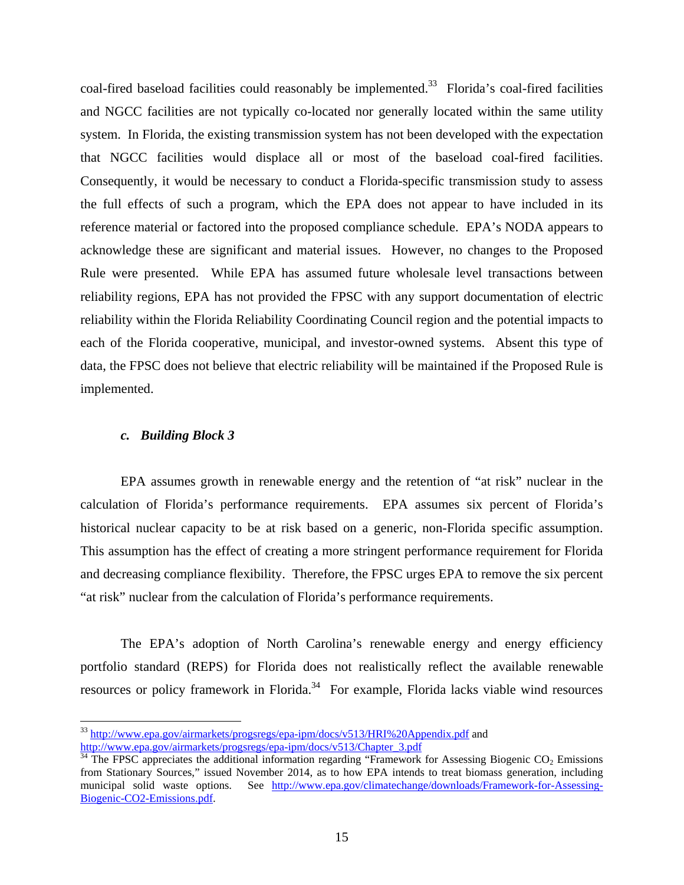coal-fired baseload facilities could reasonably be implemented.<sup>33</sup> Florida's coal-fired facilities and NGCC facilities are not typically co-located nor generally located within the same utility system. In Florida, the existing transmission system has not been developed with the expectation that NGCC facilities would displace all or most of the baseload coal-fired facilities. Consequently, it would be necessary to conduct a Florida-specific transmission study to assess the full effects of such a program, which the EPA does not appear to have included in its reference material or factored into the proposed compliance schedule. EPA's NODA appears to acknowledge these are significant and material issues. However, no changes to the Proposed Rule were presented. While EPA has assumed future wholesale level transactions between reliability regions, EPA has not provided the FPSC with any support documentation of electric reliability within the Florida Reliability Coordinating Council region and the potential impacts to each of the Florida cooperative, municipal, and investor-owned systems. Absent this type of data, the FPSC does not believe that electric reliability will be maintained if the Proposed Rule is implemented.

### *c. Building Block 3*

 $\overline{a}$ 

EPA assumes growth in renewable energy and the retention of "at risk" nuclear in the calculation of Florida's performance requirements. EPA assumes six percent of Florida's historical nuclear capacity to be at risk based on a generic, non-Florida specific assumption. This assumption has the effect of creating a more stringent performance requirement for Florida and decreasing compliance flexibility. Therefore, the FPSC urges EPA to remove the six percent "at risk" nuclear from the calculation of Florida's performance requirements.

The EPA's adoption of North Carolina's renewable energy and energy efficiency portfolio standard (REPS) for Florida does not realistically reflect the available renewable resources or policy framework in Florida.<sup>34</sup> For example, Florida lacks viable wind resources

<sup>&</sup>lt;sup>33</sup> http://www.epa.gov/airmarkets/progsregs/epa-ipm/docs/v513/HRI%20Appendix.pdf and http://www.epa.gov/airmarkets/progsregs/epa-ipm/docs/v513/Chapter\_3.pdf

 $34$  The FPSC appreciates the additional information regarding "Framework for Assessing Biogenic CO<sub>2</sub> Emissions from Stationary Sources," issued November 2014, as to how EPA intends to treat biomass generation, including municipal solid waste options. See http://www.epa.gov/climatechange/downloads/Framework-for-Assessing-Biogenic-CO2-Emissions.pdf.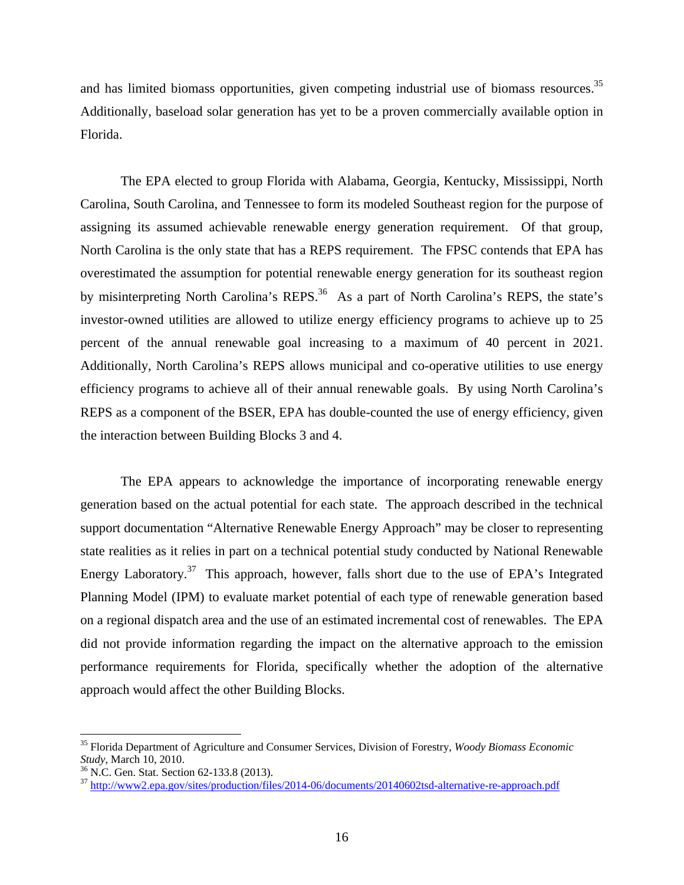and has limited biomass opportunities, given competing industrial use of biomass resources.<sup>35</sup> Additionally, baseload solar generation has yet to be a proven commercially available option in Florida.

The EPA elected to group Florida with Alabama, Georgia, Kentucky, Mississippi, North Carolina, South Carolina, and Tennessee to form its modeled Southeast region for the purpose of assigning its assumed achievable renewable energy generation requirement. Of that group, North Carolina is the only state that has a REPS requirement. The FPSC contends that EPA has overestimated the assumption for potential renewable energy generation for its southeast region by misinterpreting North Carolina's REPS.<sup>36</sup> As a part of North Carolina's REPS, the state's investor-owned utilities are allowed to utilize energy efficiency programs to achieve up to 25 percent of the annual renewable goal increasing to a maximum of 40 percent in 2021. Additionally, North Carolina's REPS allows municipal and co-operative utilities to use energy efficiency programs to achieve all of their annual renewable goals. By using North Carolina's REPS as a component of the BSER, EPA has double-counted the use of energy efficiency, given the interaction between Building Blocks 3 and 4.

The EPA appears to acknowledge the importance of incorporating renewable energy generation based on the actual potential for each state. The approach described in the technical support documentation "Alternative Renewable Energy Approach" may be closer to representing state realities as it relies in part on a technical potential study conducted by National Renewable Energy Laboratory.<sup>37</sup> This approach, however, falls short due to the use of EPA's Integrated Planning Model (IPM) to evaluate market potential of each type of renewable generation based on a regional dispatch area and the use of an estimated incremental cost of renewables. The EPA did not provide information regarding the impact on the alternative approach to the emission performance requirements for Florida, specifically whether the adoption of the alternative approach would affect the other Building Blocks.

<sup>&</sup>lt;sup>35</sup> Florida Department of Agriculture and Consumer Services, Division of Forestry, *Woody Biomass Economic Study*, March 10, 2010.

<sup>&</sup>lt;sup>36</sup> N.C. Gen. Stat. Section 62-133.8 (2013).

<sup>37</sup> http://www2.epa.gov/sites/production/files/2014-06/documents/20140602tsd-alternative-re-approach.pdf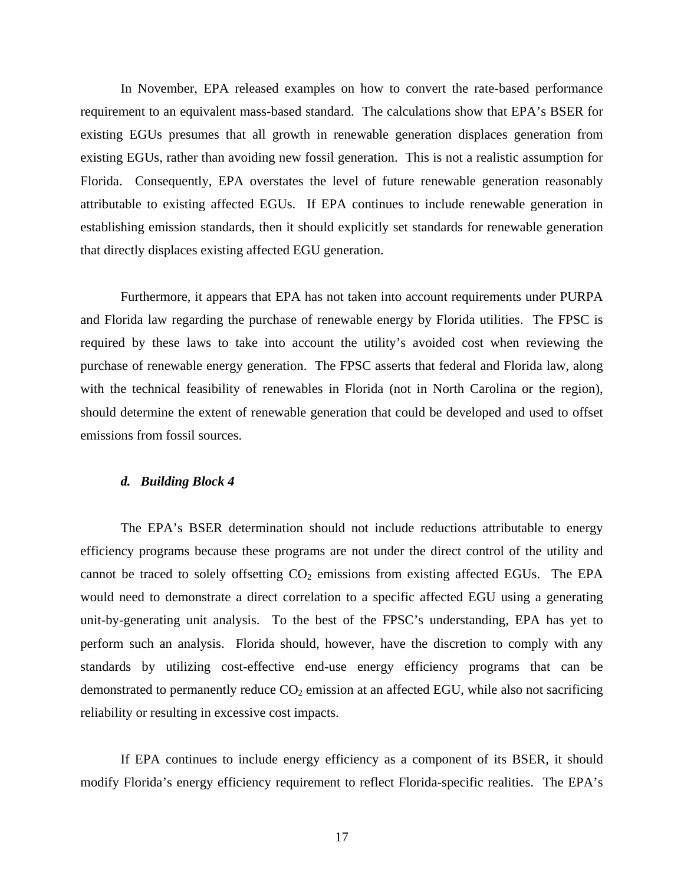In November, EPA released examples on how to convert the rate-based performance requirement to an equivalent mass-based standard. The calculations show that EPA's BSER for existing EGUs presumes that all growth in renewable generation displaces generation from existing EGUs, rather than avoiding new fossil generation. This is not a realistic assumption for Florida. Consequently, EPA overstates the level of future renewable generation reasonably attributable to existing affected EGUs. If EPA continues to include renewable generation in establishing emission standards, then it should explicitly set standards for renewable generation that directly displaces existing affected EGU generation.

Furthermore, it appears that EPA has not taken into account requirements under PURPA and Florida law regarding the purchase of renewable energy by Florida utilities. The FPSC is required by these laws to take into account the utility's avoided cost when reviewing the purchase of renewable energy generation. The FPSC asserts that federal and Florida law, along with the technical feasibility of renewables in Florida (not in North Carolina or the region), should determine the extent of renewable generation that could be developed and used to offset emissions from fossil sources.

#### *d. Building Block 4*

The EPA's BSER determination should not include reductions attributable to energy efficiency programs because these programs are not under the direct control of the utility and cannot be traced to solely offsetting  $CO<sub>2</sub>$  emissions from existing affected EGUs. The EPA would need to demonstrate a direct correlation to a specific affected EGU using a generating unit-by-generating unit analysis. To the best of the FPSC's understanding, EPA has yet to perform such an analysis. Florida should, however, have the discretion to comply with any standards by utilizing cost-effective end-use energy efficiency programs that can be demonstrated to permanently reduce  $CO<sub>2</sub>$  emission at an affected EGU, while also not sacrificing reliability or resulting in excessive cost impacts.

If EPA continues to include energy efficiency as a component of its BSER, it should modify Florida's energy efficiency requirement to reflect Florida-specific realities. The EPA's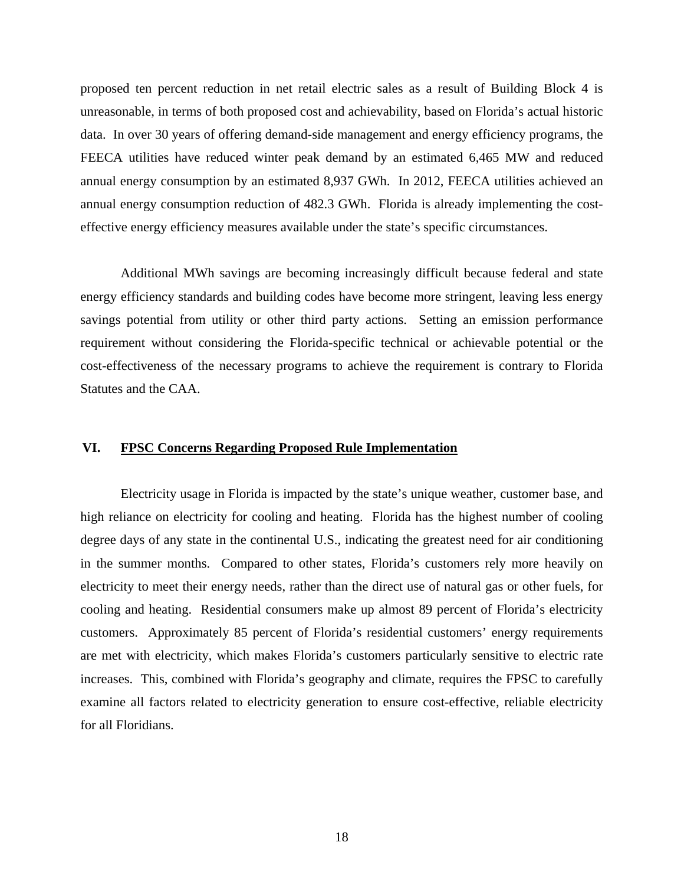proposed ten percent reduction in net retail electric sales as a result of Building Block 4 is unreasonable, in terms of both proposed cost and achievability, based on Florida's actual historic data. In over 30 years of offering demand-side management and energy efficiency programs, the FEECA utilities have reduced winter peak demand by an estimated 6,465 MW and reduced annual energy consumption by an estimated 8,937 GWh. In 2012, FEECA utilities achieved an annual energy consumption reduction of 482.3 GWh. Florida is already implementing the costeffective energy efficiency measures available under the state's specific circumstances.

Additional MWh savings are becoming increasingly difficult because federal and state energy efficiency standards and building codes have become more stringent, leaving less energy savings potential from utility or other third party actions. Setting an emission performance requirement without considering the Florida-specific technical or achievable potential or the cost-effectiveness of the necessary programs to achieve the requirement is contrary to Florida Statutes and the CAA.

## **VI. FPSC Concerns Regarding Proposed Rule Implementation**

Electricity usage in Florida is impacted by the state's unique weather, customer base, and high reliance on electricity for cooling and heating. Florida has the highest number of cooling degree days of any state in the continental U.S., indicating the greatest need for air conditioning in the summer months. Compared to other states, Florida's customers rely more heavily on electricity to meet their energy needs, rather than the direct use of natural gas or other fuels, for cooling and heating. Residential consumers make up almost 89 percent of Florida's electricity customers. Approximately 85 percent of Florida's residential customers' energy requirements are met with electricity, which makes Florida's customers particularly sensitive to electric rate increases. This, combined with Florida's geography and climate, requires the FPSC to carefully examine all factors related to electricity generation to ensure cost-effective, reliable electricity for all Floridians.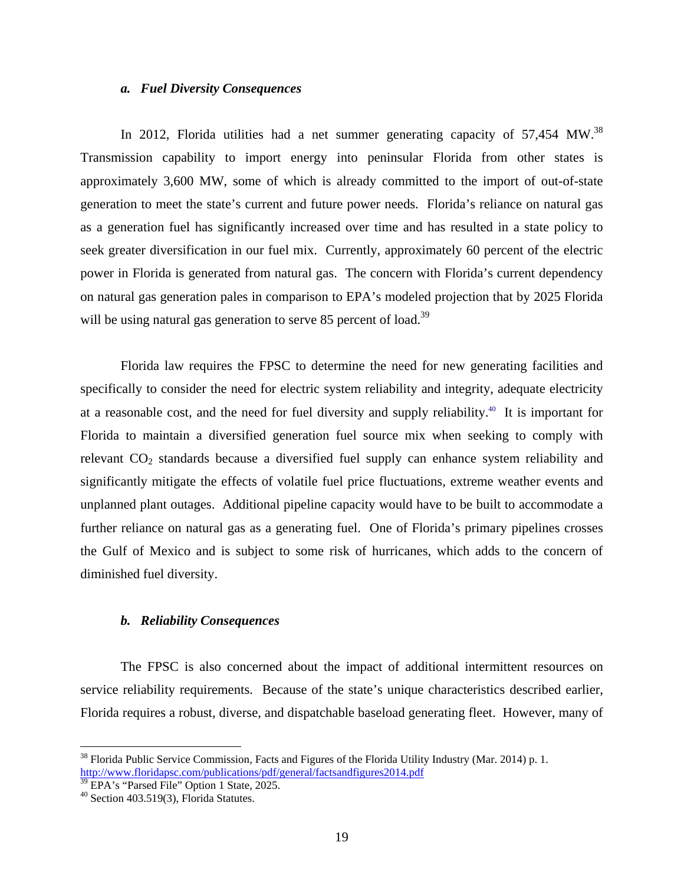### *a. Fuel Diversity Consequences*

In 2012, Florida utilities had a net summer generating capacity of  $57,454$  MW.<sup>38</sup> Transmission capability to import energy into peninsular Florida from other states is approximately 3,600 MW, some of which is already committed to the import of out-of-state generation to meet the state's current and future power needs. Florida's reliance on natural gas as a generation fuel has significantly increased over time and has resulted in a state policy to seek greater diversification in our fuel mix. Currently, approximately 60 percent of the electric power in Florida is generated from natural gas. The concern with Florida's current dependency on natural gas generation pales in comparison to EPA's modeled projection that by 2025 Florida will be using natural gas generation to serve 85 percent of load.<sup>39</sup>

Florida law requires the FPSC to determine the need for new generating facilities and specifically to consider the need for electric system reliability and integrity, adequate electricity at a reasonable cost, and the need for fuel diversity and supply reliability.40 It is important for Florida to maintain a diversified generation fuel source mix when seeking to comply with relevant  $CO<sub>2</sub>$  standards because a diversified fuel supply can enhance system reliability and significantly mitigate the effects of volatile fuel price fluctuations, extreme weather events and unplanned plant outages. Additional pipeline capacity would have to be built to accommodate a further reliance on natural gas as a generating fuel. One of Florida's primary pipelines crosses the Gulf of Mexico and is subject to some risk of hurricanes, which adds to the concern of diminished fuel diversity.

## *b. Reliability Consequences*

The FPSC is also concerned about the impact of additional intermittent resources on service reliability requirements. Because of the state's unique characteristics described earlier, Florida requires a robust, diverse, and dispatchable baseload generating fleet. However, many of

 $38$  Florida Public Service Commission, Facts and Figures of the Florida Utility Industry (Mar. 2014) p. 1. http://www.floridapsc.com/publications/pdf/general/factsandfigures2014.pdf<br><sup>39</sup> EPA's "Parsed File" Option 1 State, 2025.

 $40$  Section 403.519(3), Florida Statutes.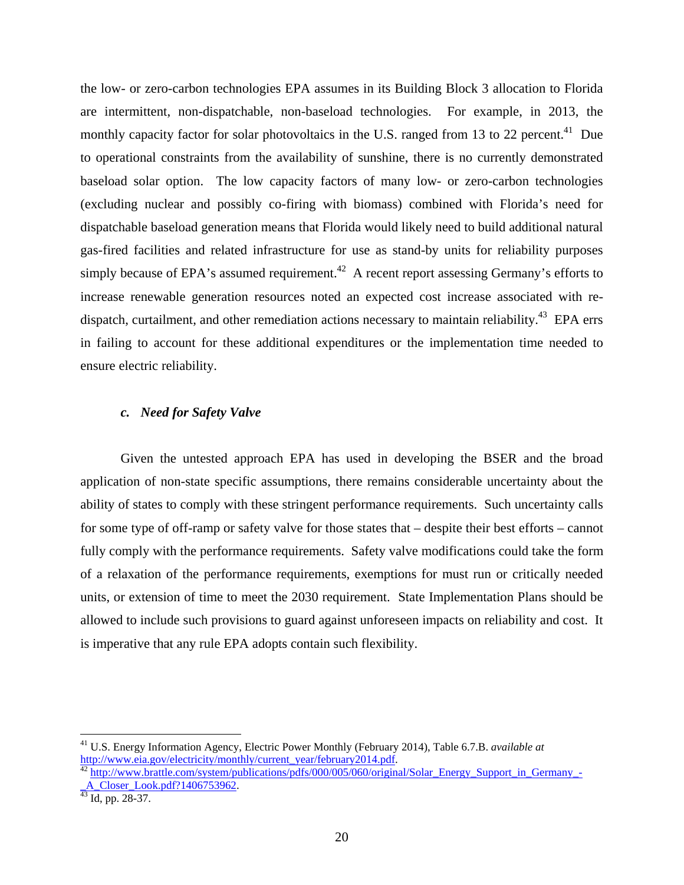the low- or zero-carbon technologies EPA assumes in its Building Block 3 allocation to Florida are intermittent, non-dispatchable, non-baseload technologies. For example, in 2013, the monthly capacity factor for solar photovoltaics in the U.S. ranged from 13 to 22 percent.<sup>41</sup> Due to operational constraints from the availability of sunshine, there is no currently demonstrated baseload solar option. The low capacity factors of many low- or zero-carbon technologies (excluding nuclear and possibly co-firing with biomass) combined with Florida's need for dispatchable baseload generation means that Florida would likely need to build additional natural gas-fired facilities and related infrastructure for use as stand-by units for reliability purposes simply because of EPA's assumed requirement.<sup>42</sup> A recent report assessing Germany's efforts to increase renewable generation resources noted an expected cost increase associated with redispatch, curtailment, and other remediation actions necessary to maintain reliability.<sup>43</sup> EPA errs in failing to account for these additional expenditures or the implementation time needed to ensure electric reliability.

# *c. Need for Safety Valve*

Given the untested approach EPA has used in developing the BSER and the broad application of non-state specific assumptions, there remains considerable uncertainty about the ability of states to comply with these stringent performance requirements. Such uncertainty calls for some type of off-ramp or safety valve for those states that – despite their best efforts – cannot fully comply with the performance requirements. Safety valve modifications could take the form of a relaxation of the performance requirements, exemptions for must run or critically needed units, or extension of time to meet the 2030 requirement. State Implementation Plans should be allowed to include such provisions to guard against unforeseen impacts on reliability and cost. It is imperative that any rule EPA adopts contain such flexibility.

<sup>41</sup> U.S. Energy Information Agency, Electric Power Monthly (February 2014), Table 6.7.B. *available at* http://www.eia.gov/electricity/monthly/current\_year/february2014.pdf.<br><sup>42</sup> http://www.brattle.com/system/publications/pdfs/000/005/060/original/Solar\_Energy\_Support\_in\_Germany\_-

A\_Closer\_Look.pdf?1406753962.<br><sup>43</sup> Id, pp. 28-37.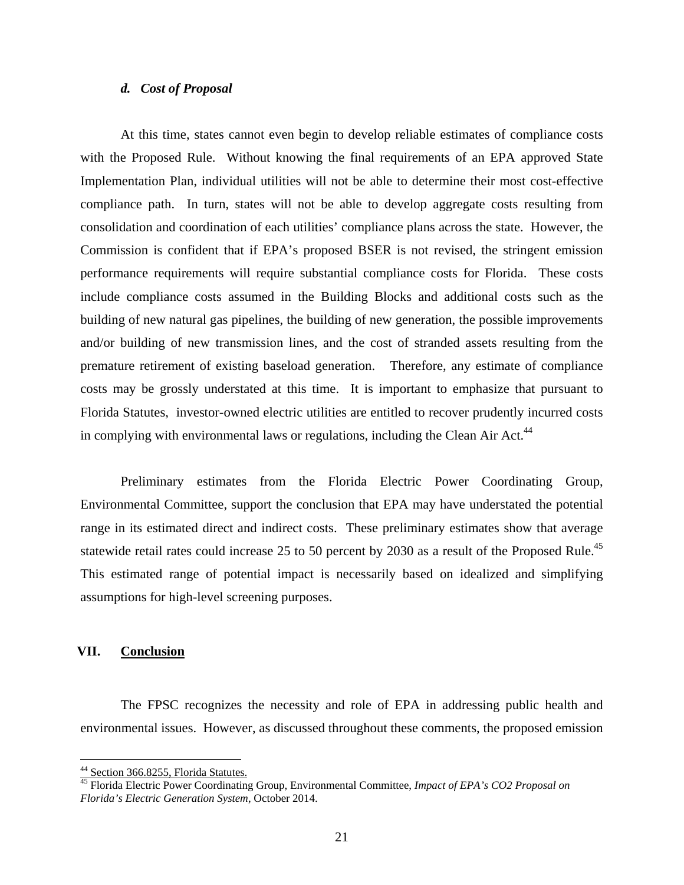## *d. Cost of Proposal*

At this time, states cannot even begin to develop reliable estimates of compliance costs with the Proposed Rule. Without knowing the final requirements of an EPA approved State Implementation Plan, individual utilities will not be able to determine their most cost-effective compliance path. In turn, states will not be able to develop aggregate costs resulting from consolidation and coordination of each utilities' compliance plans across the state. However, the Commission is confident that if EPA's proposed BSER is not revised, the stringent emission performance requirements will require substantial compliance costs for Florida. These costs include compliance costs assumed in the Building Blocks and additional costs such as the building of new natural gas pipelines, the building of new generation, the possible improvements and/or building of new transmission lines, and the cost of stranded assets resulting from the premature retirement of existing baseload generation. Therefore, any estimate of compliance costs may be grossly understated at this time. It is important to emphasize that pursuant to Florida Statutes, investor-owned electric utilities are entitled to recover prudently incurred costs in complying with environmental laws or regulations, including the Clean Air Act.<sup>44</sup>

Preliminary estimates from the Florida Electric Power Coordinating Group, Environmental Committee, support the conclusion that EPA may have understated the potential range in its estimated direct and indirect costs. These preliminary estimates show that average statewide retail rates could increase 25 to 50 percent by 2030 as a result of the Proposed Rule.<sup>45</sup> This estimated range of potential impact is necessarily based on idealized and simplifying assumptions for high-level screening purposes.

## **VII. Conclusion**

 $\overline{a}$ 

The FPSC recognizes the necessity and role of EPA in addressing public health and environmental issues. However, as discussed throughout these comments, the proposed emission

<sup>&</sup>lt;sup>44</sup> Section 366.8255, Florida Statutes.

<sup>45</sup> Florida Electric Power Coordinating Group, Environmental Committee, *Impact of EPA's CO2 Proposal on Florida's Electric Generation System*, October 2014.